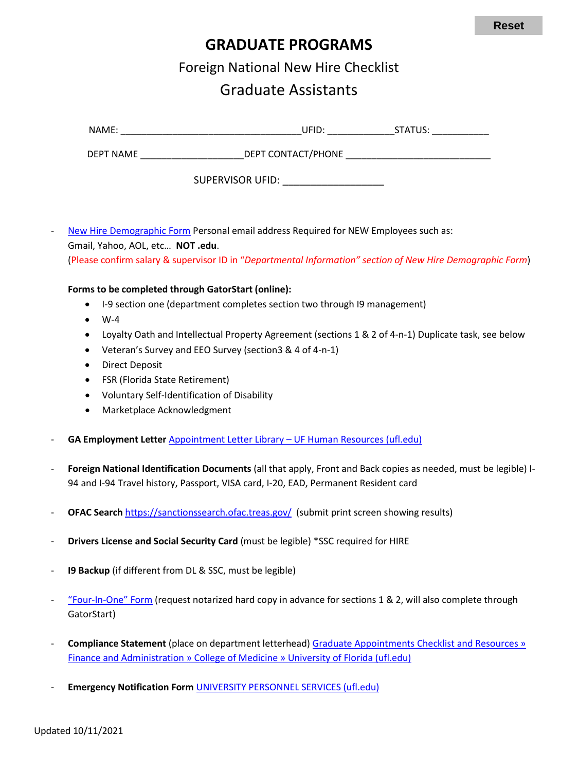## **GRADUATE PROGRAMS**

Foreign National New Hire Checklist

## Graduate Assistants

| NAME:     | UFID:                   | STATUS: |
|-----------|-------------------------|---------|
| DEPT NAME | DEPT CONTACT/PHONE      |         |
|           | <b>SUPERVISOR UFID:</b> |         |

[New Hire Demographic Form](https://hr.ufl.edu/wp-content/uploads/2018/04/demographic_form.pdf) Personal email address Required for NEW Employees such as: Gmail, Yahoo, AOL, etc… **NOT .edu**. (Please confirm salary & supervisor ID in "*Departmental Information" section of New Hire Demographic Form*)

## **Forms to be completed through GatorStart (online):**

- I-9 section one (department completes section two through I9 management)
- $\bullet$  W-4
- Loyalty Oath and Intellectual Property Agreement (sections 1 & 2 of 4-n-1) Duplicate task, see below
- Veteran's Survey and EEO Survey (section3 & 4 of 4-n-1)
- Direct Deposit
- FSR (Florida State Retirement)
- Voluntary Self-Identification of Disability
- Marketplace Acknowledgment
- **GA Employment Letter** Appointment Letter Library [UF Human Resources \(ufl.edu\)](https://hr.ufl.edu/manager-resources/recruitment-staffing/hiring-center/preparing-an-offer/appointment-letter-library/)
- **Foreign National Identification Documents** (all that apply, Front and Back copies as needed, must be legible) I-94 and I-94 Travel history, Passport, VISA card, I-20, EAD, Permanent Resident card
- **OFAC Search** <https://sanctionssearch.ofac.treas.gov/>(submit print screen showing results)
- **Drivers License and Social Security Card** (must be legible) \*SSC required for HIRE
- **I9 Backup** (if different from DL & SSC, must be legible)
- ["Four-In-One" Form](https://hr.ufl.edu/wp-content/uploads/2018/04/fourinone.pdf) (request notarized hard copy in advance for sections 1 & 2, will also complete through GatorStart)
- **Compliance Statement** (place on department letterhead) [Graduate Appointments Checklist and Resources »](https://financeadmin.med.ufl.edu/graduate-programs/graduate-assistants/)  [Finance and Administration » College of Medicine » University of Florida \(ufl.edu\)](https://financeadmin.med.ufl.edu/graduate-programs/graduate-assistants/)
- **Emergency Notification Form [UNIVERSITY PERSONNEL SERVICES \(ufl.edu\)](https://hr.ufl.edu/wp-content/uploads/2018/03/emergency.pdf)**